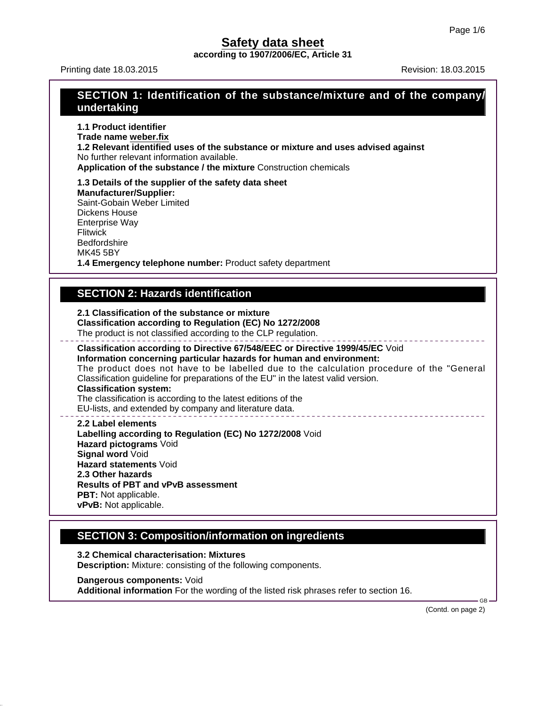**according to 1907/2006/EC, Article 31**

Printing date 18.03.2015 **Revision: 18.03.2015** Revision: 18.03.2015

## **SECTION 1: Identification of the substance/mixture and of the company/ undertaking**

**1.1 Product identifier Trade name weber.fix 1.2 Relevant identified uses of the substance or mixture and uses advised against** No further relevant information available. **Application of the substance / the mixture** Construction chemicals

**1.3 Details of the supplier of the safety data sheet Manufacturer/Supplier:** Saint-Gobain Weber Limited Dickens House Enterprise Way Flitwick **Bedfordshire** MK45 5BY

**1.4 Emergency telephone number:** Product safety department

## **SECTION 2: Hazards identification**

**2.1 Classification of the substance or mixture**

**Classification according to Regulation (EC) No 1272/2008**

The product is not classified according to the CLP regulation.

**Classification according to Directive 67/548/EEC or Directive 1999/45/EC** Void **Information concerning particular hazards for human and environment:** The product does not have to be labelled due to the calculation procedure of the "General Classification guideline for preparations of the EU" in the latest valid version. **Classification system:** The classification is according to the latest editions of the

EU-lists, and extended by company and literature data.

**2.2 Label elements Labelling according to Regulation (EC) No 1272/2008** Void **Hazard pictograms** Void **Signal word** Void **Hazard statements** Void **2.3 Other hazards Results of PBT and vPvB assessment PBT:** Not applicable. **vPvB:** Not applicable.

## **SECTION 3: Composition/information on ingredients**

**3.2 Chemical characterisation: Mixtures Description:** Mixture: consisting of the following components.

**Dangerous components:** Void **Additional information** For the wording of the listed risk phrases refer to section 16.

(Contd. on page 2)

GB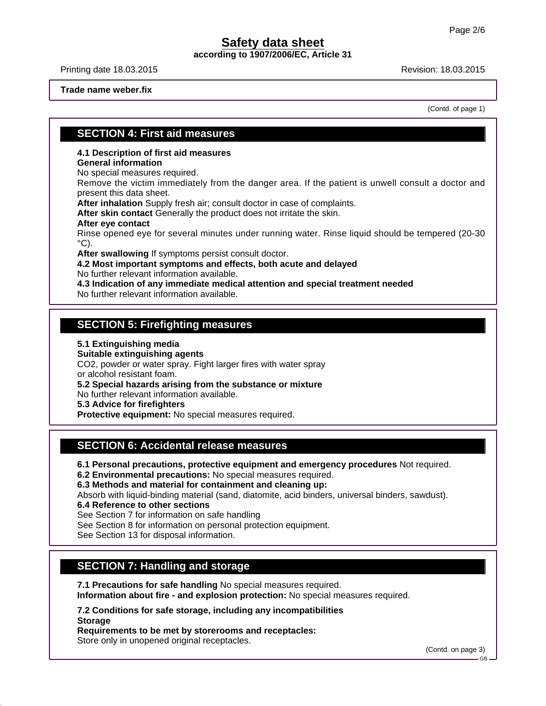**according to 1907/2006/EC, Article 31**

Printing date 18.03.2015 **Revision: 18.03.2015** Revision: 18.03.2015

**Trade name weber.fix**

(Contd. of page 1)

### **SECTION 4: First aid measures**

**4.1 Description of first aid measures**

### **General information**

No special measures required.

Remove the victim immediately from the danger area. If the patient is unwell consult a doctor and present this data sheet.

**After inhalation** Supply fresh air; consult doctor in case of complaints.

**After skin contact** Generally the product does not irritate the skin.

#### **After eye contact**

Rinse opened eye for several minutes under running water. Rinse liquid should be tempered (20-30  $\rm ^{\circ}C$ ).

**After swallowing** If symptoms persist consult doctor.

**4.2 Most important symptoms and effects, both acute and delayed**

No further relevant information available.

**4.3 Indication of any immediate medical attention and special treatment needed**

No further relevant information available.

### **SECTION 5: Firefighting measures**

#### **5.1 Extinguishing media**

**Suitable extinguishing agents**

CO2, powder or water spray. Fight larger fires with water spray or alcohol resistant foam.

**5.2 Special hazards arising from the substance or mixture**

No further relevant information available.

**5.3 Advice for firefighters**

**Protective equipment:** No special measures required.

## **SECTION 6: Accidental release measures**

**6.1 Personal precautions, protective equipment and emergency procedures** Not required.

**6.2 Environmental precautions:** No special measures required.

**6.3 Methods and material for containment and cleaning up:**

Absorb with liquid-binding material (sand, diatomite, acid binders, universal binders, sawdust).

**6.4 Reference to other sections**

See Section 7 for information on safe handling

See Section 8 for information on personal protection equipment.

See Section 13 for disposal information.

## **SECTION 7: Handling and storage**

**7.1 Precautions for safe handling** No special measures required. **Information about fire - and explosion protection:** No special measures required.

**7.2 Conditions for safe storage, including any incompatibilities Storage**

**Requirements to be met by storerooms and receptacles:** Store only in unopened original receptacles.

(Contd. on page 3)

GB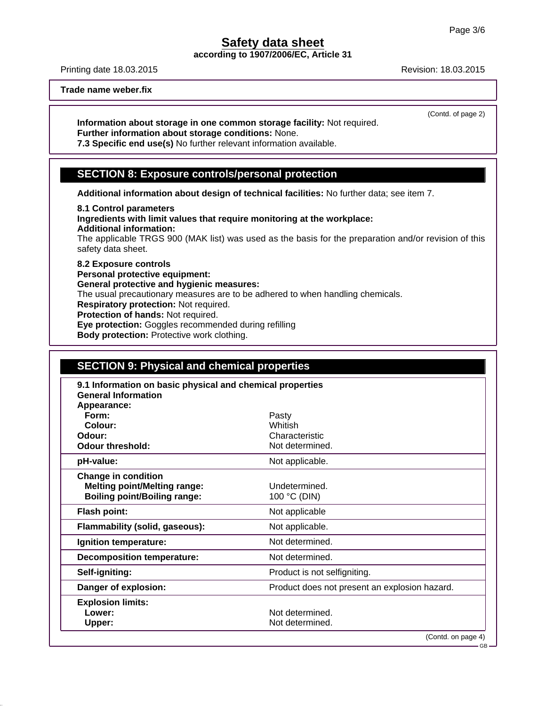**according to 1907/2006/EC, Article 31**

Printing date 18.03.2015 **Revision: 18.03.2015** Revision: 18.03.2015

(Contd. of page 2)

**Trade name weber.fix**

**Information about storage in one common storage facility:** Not required. **Further information about storage conditions:** None.

**7.3 Specific end use(s)** No further relevant information available.

### **SECTION 8: Exposure controls/personal protection**

**Additional information about design of technical facilities:** No further data; see item 7.

**8.1 Control parameters Ingredients with limit values that require monitoring at the workplace: Additional information:** The applicable TRGS 900 (MAK list) was used as the basis for the preparation and/or revision of this safety data sheet. **8.2 Exposure controls**

**Personal protective equipment: General protective and hygienic measures:** The usual precautionary measures are to be adhered to when handling chemicals. **Respiratory protection:** Not required. **Protection of hands:** Not required. **Eye protection:** Goggles recommended during refilling **Body protection:** Protective work clothing.

| <b>SECTION 9: Physical and chemical properties</b>                                      |                                               |  |  |
|-----------------------------------------------------------------------------------------|-----------------------------------------------|--|--|
| 9.1 Information on basic physical and chemical properties<br><b>General Information</b> |                                               |  |  |
| Appearance:                                                                             |                                               |  |  |
| Form:                                                                                   | Pasty                                         |  |  |
| Colour:                                                                                 | Whitish                                       |  |  |
| Odour:                                                                                  | Characteristic                                |  |  |
| <b>Odour threshold:</b>                                                                 | Not determined.                               |  |  |
| pH-value:                                                                               | Not applicable.                               |  |  |
| <b>Change in condition</b>                                                              |                                               |  |  |
| <b>Melting point/Melting range:</b>                                                     | Undetermined                                  |  |  |
| <b>Boiling point/Boiling range:</b>                                                     | 100 °C (DIN)                                  |  |  |
| <b>Flash point:</b>                                                                     | Not applicable                                |  |  |
| Flammability (solid, gaseous):                                                          | Not applicable.                               |  |  |
| Ignition temperature:                                                                   | Not determined.                               |  |  |
| <b>Decomposition temperature:</b>                                                       | Not determined.                               |  |  |
| Self-igniting:                                                                          | Product is not selfigniting.                  |  |  |
| Danger of explosion:                                                                    | Product does not present an explosion hazard. |  |  |
| <b>Explosion limits:</b>                                                                |                                               |  |  |
| Lower:                                                                                  | Not determined.                               |  |  |
| Upper:                                                                                  | Not determined.                               |  |  |
|                                                                                         | (Contd. on page 4)                            |  |  |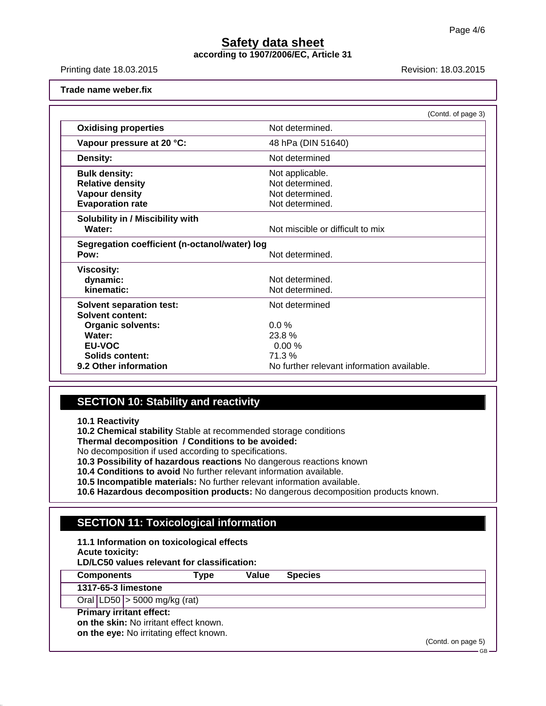**according to 1907/2006/EC, Article 31**

Printing date 18.03.2015 **Revision: 18.03.2015** Revision: 18.03.2015

**Trade name weber.fix**

|                                               | (Contd. of page 3)                         |  |
|-----------------------------------------------|--------------------------------------------|--|
| <b>Oxidising properties</b>                   | Not determined.                            |  |
| Vapour pressure at 20 °C:                     | 48 hPa (DIN 51640)                         |  |
| <b>Density:</b>                               | Not determined                             |  |
| <b>Bulk density:</b>                          | Not applicable.                            |  |
| <b>Relative density</b>                       | Not determined.                            |  |
| <b>Vapour density</b>                         | Not determined.                            |  |
| <b>Evaporation rate</b>                       | Not determined.                            |  |
| Solubility in / Miscibility with              |                                            |  |
| Water:                                        | Not miscible or difficult to mix           |  |
| Segregation coefficient (n-octanol/water) log |                                            |  |
| Pow:                                          | Not determined.                            |  |
| <b>Viscosity:</b>                             |                                            |  |
| dynamic:                                      | Not determined.                            |  |
| kinematic:                                    | Not determined.                            |  |
| <b>Solvent separation test:</b>               | Not determined                             |  |
| Solvent content:                              |                                            |  |
| <b>Organic solvents:</b>                      | $0.0\%$                                    |  |
| Water:                                        | 23.8 %                                     |  |
| <b>EU-VOC</b>                                 | 0.00%                                      |  |
| Solids content:                               | 71.3%                                      |  |
| 9.2 Other information                         | No further relevant information available. |  |

## **SECTION 10: Stability and reactivity**

**10.1 Reactivity**

**10.2 Chemical stability** Stable at recommended storage conditions

**Thermal decomposition / Conditions to be avoided:**

No decomposition if used according to specifications.

**10.3 Possibility of hazardous reactions** No dangerous reactions known

**10.4 Conditions to avoid** No further relevant information available.

**10.5 Incompatible materials:** No further relevant information available.

**10.6 Hazardous decomposition products:** No dangerous decomposition products known.

## **SECTION 11: Toxicological information**

**11.1 Information on toxicological effects**

**Acute toxicity:**

**LD/LC50 values relevant for classification:**

**Components Type Value Species**

**1317-65-3 limestone**

Oral LD50 > 5000 mg/kg (rat)

**Primary irritant effect:**

**on the skin:** No irritant effect known.

**on the eye:** No irritating effect known.

(Contd. on page 5)

GB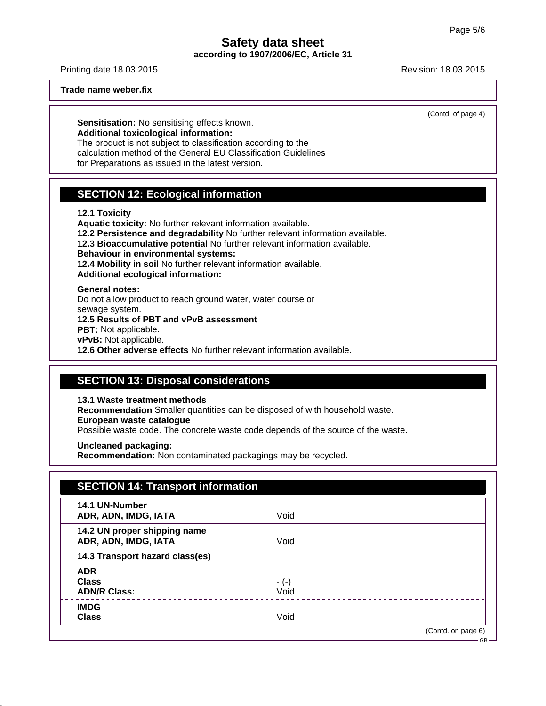**according to 1907/2006/EC, Article 31**

Printing date 18.03.2015 **Revision: 18.03.2015** Revision: 18.03.2015

**Trade name weber.fix**

(Contd. of page 4)

**Sensitisation:** No sensitising effects known. **Additional toxicological information:** The product is not subject to classification according to the calculation method of the General EU Classification Guidelines

for Preparations as issued in the latest version.

## **SECTION 12: Ecological information**

#### **12.1 Toxicity**

**Aquatic toxicity:** No further relevant information available. **12.2 Persistence and degradability** No further relevant information available. **12.3 Bioaccumulative potential** No further relevant information available. **Behaviour in environmental systems: 12.4 Mobility in soil** No further relevant information available. **Additional ecological information: General notes:**

Do not allow product to reach ground water, water course or sewage system.

**12.5 Results of PBT and vPvB assessment**

**PBT:** Not applicable.

**vPvB:** Not applicable.

**12.6 Other adverse effects** No further relevant information available.

## **SECTION 13: Disposal considerations**

**13.1 Waste treatment methods**

**Recommendation** Smaller quantities can be disposed of with household waste.

**European waste catalogue**

Possible waste code. The concrete waste code depends of the source of the waste.

**Uncleaned packaging:**

**Recommendation:** Non contaminated packagings may be recycled.

| 14.1 UN-Number                  |        |  |
|---------------------------------|--------|--|
| ADR, ADN, IMDG, IATA            | Void   |  |
| 14.2 UN proper shipping name    |        |  |
| ADR, ADN, IMDG, IATA            | Void   |  |
| 14.3 Transport hazard class(es) |        |  |
| <b>ADR</b>                      |        |  |
| <b>Class</b>                    | $-(-)$ |  |
| <b>ADN/R Class:</b>             | Void   |  |
| <b>IMDG</b>                     |        |  |
| <b>Class</b>                    | Void   |  |